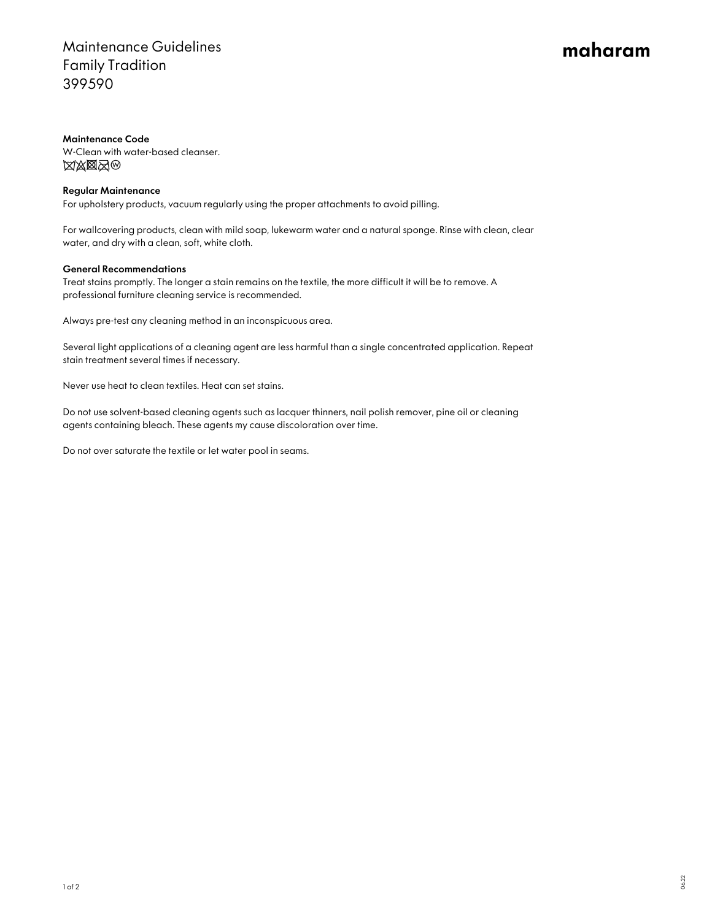## Maintenance Guidelines Family Tradition 399590

# maharam

#### Maintenance Code

W-Clean with water-based cleanser. **XXXX**O

### Regular Maintenance

For upholstery products, vacuum regularly using the proper attachments to avoid pilling.

For wallcovering products, clean with mild soap, lukewarm water and a natural sponge. Rinse with clean, clear water, and dry with a clean, soft, white cloth.

#### General Recommendations

Treat stains promptly. The longer a stain remains on the textile, the more difficult it will be to remove. A professional furniture cleaning service is recommended.

Always pre-test any cleaning method in an inconspicuous area.

Several light applications of a cleaning agent are less harmful than a single concentrated application. Repeat stain treatment several times if necessary.

Never use heat to clean textiles. Heat can set stains.

Do not use solvent-based cleaning agents such as lacquer thinners, nail polish remover, pine oil or cleaning agents containing bleach. These agents my cause discoloration over time.

Do not over saturate the textile or let water pool in seams.